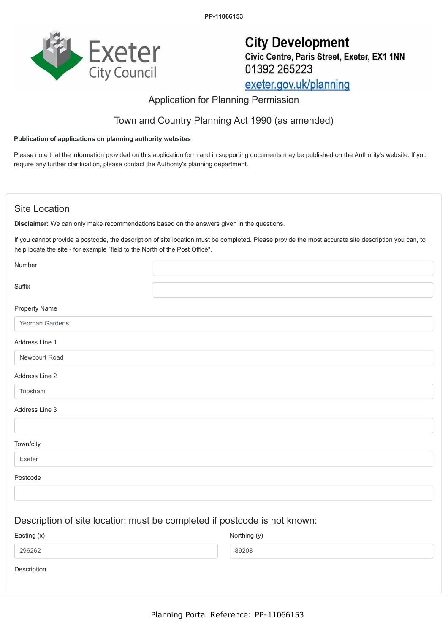**PP-11066153**



# **City Development** Civic Centre, Paris Street, Exeter, EX1 1NN 01392 265223 exeter.gov.uk/planning

# Application for Planning Permission

# Town and Country Planning Act 1990 (as amended)

#### **Publication of applications on planning authority websites**

Please note that the information provided on this application form and in supporting documents may be published on the Authority's website. If you require any further clarification, please contact the Authority's planning department.

### Site Location

Description

296262

**Disclaimer:** We can only make recommendations based on the answers given in the questions.

If you cannot provide a postcode, the description of site location must be completed. Please provide the most accurate site description you can, to help locate the site - for example "field to the North of the Post Office".

| Number         |                                                                          |  |
|----------------|--------------------------------------------------------------------------|--|
| Suffix         |                                                                          |  |
| Property Name  |                                                                          |  |
| Yeoman Gardens |                                                                          |  |
| Address Line 1 |                                                                          |  |
| Newcourt Road  |                                                                          |  |
| Address Line 2 |                                                                          |  |
| Topsham        |                                                                          |  |
| Address Line 3 |                                                                          |  |
|                |                                                                          |  |
| Town/city      |                                                                          |  |
| Exeter         |                                                                          |  |
| Postcode       |                                                                          |  |
|                |                                                                          |  |
|                | Description of site location must be completed if postcode is not known: |  |
| Easting (x)    | Northing (y)                                                             |  |

89208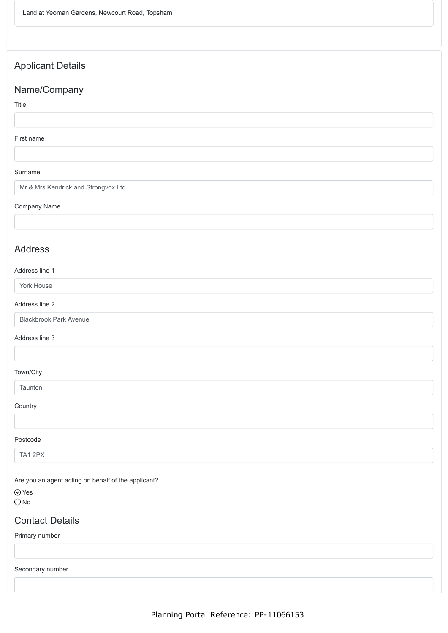# Applicant Details

# Name/Company

### Title

#### First name

#### Surname

Mr & Mrs Kendrick and Strongvox Ltd

#### Company Name

### Address

#### Address line 1

| York House |  |
|------------|--|
|            |  |

#### Address line 2

Blackbrook Park Avenue

#### Address line 3

### Town/City

Taunton

### **Country**

#### Postcode

TA1 2PX

Are you an agent acting on behalf of the applicant?

Yes  $O$ No

### Contact Details

Primary number

Secondary number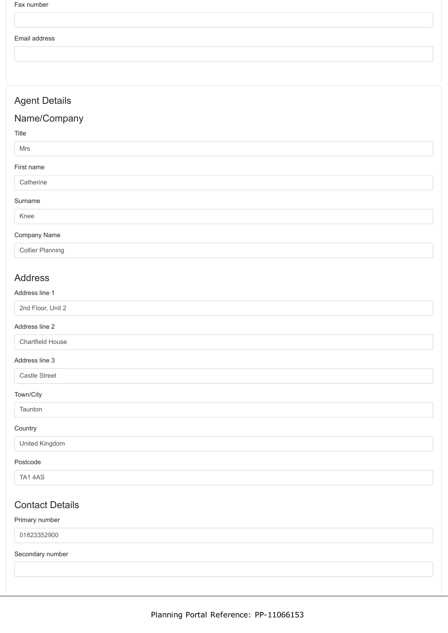#### Email address

# Agent Details

## Name/Company

#### Title

#### Mrs

#### First name

**Catherine** 

#### Surname

Knee

#### Company Name

Collier Planning

### Address

#### Address line 1

2nd Floor, Unit 2

#### Address line 2

Chartfield House

#### Address line 3

Castle Street

#### Town/City

**Taunton** 

#### Country

United Kingdom

#### Postcode

TA1 4AS

### Contact Details

#### Primary number

01823352900

#### Secondary number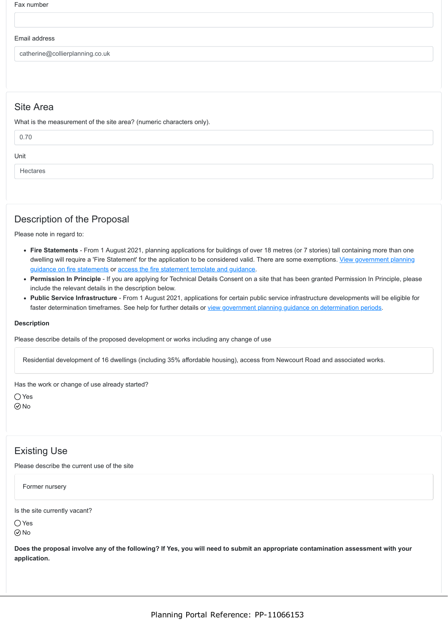Fax number

#### Email address

catherine@collierplanning.co.uk

### Site Area

What is the measurement of the site area? (numeric characters only).

| 0.70     |  |
|----------|--|
| Unit     |  |
| Hectares |  |

### Description of the Proposal

Please note in regard to:

- **Fire Statements** From 1 August 2021, planning applications for buildings of over 18 metres (or 7 stories) tall containing more than one [dwelling will require a 'Fire Statement' for the application to be considered valid. There are some exemptions. View government planning](https://www.gov.uk/guidance/fire-safety-and-high-rise-residential-buildings-from-1-august-2021) guidance on fire statements or [access the fire statement template and guidance](https://www.gov.uk/government/publications/planning-application-forms-templates-for-local-planning-authorities#attachment_5328788).
- **Permission In Principle** If you are applying for Technical Details Consent on a site that has been granted Permission In Principle, please include the relevant details in the description below.
- **Public Service Infrastructure** From 1 August 2021, applications for certain public service infrastructure developments will be eligible for faster determination timeframes. See help for further details or [view government planning guidance on determination periods](https://www.gov.uk/guidance/determining-a-planning-application#what-are-the-time-periods-for-determining-a-planning-application).

#### **Description**

Please describe details of the proposed development or works including any change of use

Residential development of 16 dwellings (including 35% affordable housing), access from Newcourt Road and associated works.

Has the work or change of use already started?

○ Yes No

### Existing Use

Please describe the current use of the site

Former nursery

Is the site currently vacant?

 $\bigcap$  Yes  $\odot$ No

**Does the proposal involve any of the following? If Yes, you will need to submit an appropriate contamination assessment with your application.**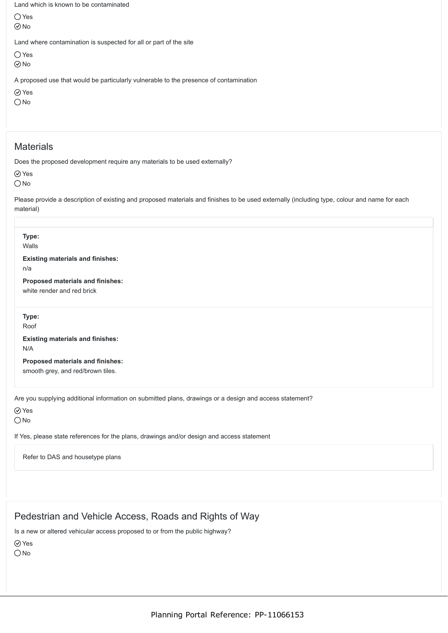Land which is known to be contaminated

Yes No

Land where contamination is suspected for all or part of the site

 $\bigcirc$  Yes

⊙No

A proposed use that would be particularly vulnerable to the presence of contamination

Yes

 $\bigcirc$  No

# **Materials**

Does the proposed development require any materials to be used externally?

Yes

 $\bigcirc$  No

Please provide a description of existing and proposed materials and finishes to be used externally (including type, colour and name for each material)

| Type:<br>Walls                                                                                          |
|---------------------------------------------------------------------------------------------------------|
| <b>Existing materials and finishes:</b><br>n/a                                                          |
| Proposed materials and finishes:<br>white render and red brick                                          |
| Type:<br>Roof                                                                                           |
| <b>Existing materials and finishes:</b><br>N/A                                                          |
| Proposed materials and finishes:<br>smooth grey, and red/brown tiles.                                   |
| Are you supplying additional information on submitted plans, drawings or a design and access statement? |
| $\odot$ Yes                                                                                             |
| $\bigcirc$ No                                                                                           |
| If Yes, please state references for the plans, drawings and/or design and access statement              |
|                                                                                                         |

Refer to DAS and housetype plans

# Pedestrian and Vehicle Access, Roads and Rights of Way

Is a new or altered vehicular access proposed to or from the public highway?

Yes

 $\bigcirc$  No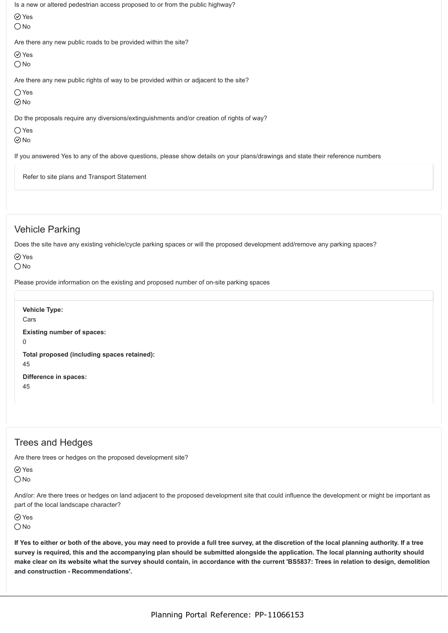Is a new or altered pedestrian access proposed to or from the public highway?

⊙ Yes O<sub>No</sub>

Are there any new public roads to be provided within the site?

**⊘**Yes

O<sub>No</sub>

Are there any new public rights of way to be provided within or adjacent to the site?

 $\bigcirc$  Yes

No

Do the proposals require any diversions/extinguishments and/or creation of rights of way?

 $\bigcap$  Yes

 $\odot$ No

If you answered Yes to any of the above questions, please show details on your plans/drawings and state their reference numbers

Refer to site plans and Transport Statement

# Vehicle Parking

Does the site have any existing vehicle/cycle parking spaces or will the proposed development add/remove any parking spaces?

Yes

 $ONo$ 

Please provide information on the existing and proposed number of on-site parking spaces

**Vehicle Type:** Cars **Existing number of spaces:**  $\Omega$ **Total proposed (including spaces retained):** 45 **Difference in spaces:** 45

### Trees and Hedges

Are there trees or hedges on the proposed development site?

⊙ Yes

 $\bigcirc$  No

And/or: Are there trees or hedges on land adjacent to the proposed development site that could influence the development or might be important as part of the local landscape character?

**⊘**Yes  $\bigcirc$  No

**If Yes to either or both of the above, you may need to provide a full tree survey, at the discretion of the local planning authority. If a tree survey is required, this and the accompanying plan should be submitted alongside the application. The local planning authority should make clear on its website what the survey should contain, in accordance with the current 'BS5837: Trees in relation to design, demolition and construction - Recommendations'.**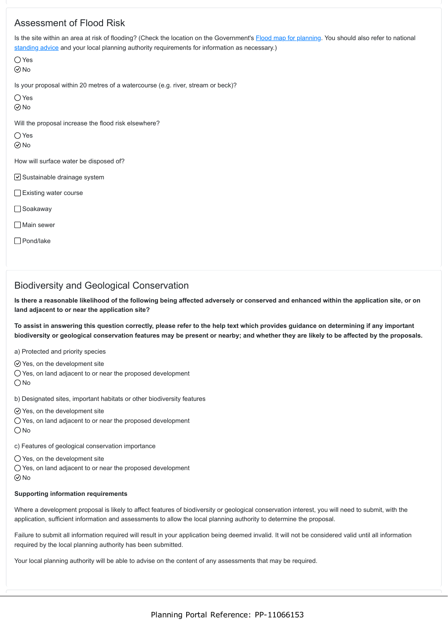### Assessment of Flood Risk

Is the site within an area at risk of flooding? (Check the location on the Government's [Flood map for planning.](https://flood-map-for-planning.service.gov.uk/) You should also refer to national [standing advice](https://www.gov.uk/guidance/flood-risk-assessment-standing-advice) and your local planning authority requirements for information as necessary.)

```
\bigcap Yes
\odotNo
```
Is your proposal within 20 metres of a watercourse (e.g. river, stream or beck)?

 $\bigcap$  Yes

 $\odot$  No

Will the proposal increase the flood risk elsewhere?

 $\bigcap$  Yes

 $\odot$  No

How will surface water be disposed of?

- $\vee$  Sustainable drainage system
- Existing water course

□ Soakaway

□ Main sewer

□ Pond/lake

### Biodiversity and Geological Conservation

**Is there a reasonable likelihood of the following being affected adversely or conserved and enhanced within the application site, or on land adjacent to or near the application site?**

**To assist in answering this question correctly, please refer to the help text which provides guidance on determining if any important biodiversity or geological conservation features may be present or nearby; and whether they are likely to be affected by the proposals.**

a) Protected and priority species

- $\odot$  Yes, on the development site
- $\bigcirc$  Yes, on land adjacent to or near the proposed development

 $ONo$ 

b) Designated sites, important habitats or other biodiversity features

- $\odot$  Yes, on the development site
- Yes, on land adjacent to or near the proposed development
- $\bigcirc$  No

c) Features of geological conservation importance

O Yes, on the development site

Yes, on land adjacent to or near the proposed development

 $\odot$  No

#### **Supporting information requirements**

Where a development proposal is likely to affect features of biodiversity or geological conservation interest, you will need to submit, with the application, sufficient information and assessments to allow the local planning authority to determine the proposal.

Failure to submit all information required will result in your application being deemed invalid. It will not be considered valid until all information required by the local planning authority has been submitted.

Your local planning authority will be able to advise on the content of any assessments that may be required.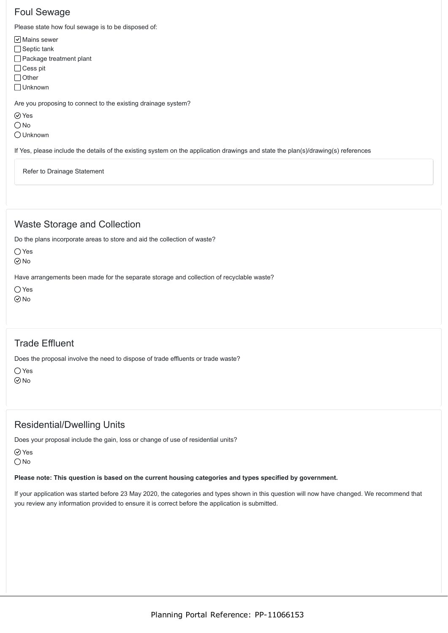# Foul Sewage

Please state how foul sewage is to be disposed of:

- $\boxed{\mathsf{v}}$  Mains sewer
- $\Box$  Septic tank
- □ Package treatment plant
- □ Cess pit
- □ Other
- Unknown

Are you proposing to connect to the existing drainage system?

- ⊙ Yes
- $\bigcirc$  No
- Unknown

If Yes, please include the details of the existing system on the application drawings and state the plan(s)/drawing(s) references

Refer to Drainage Statement

# Waste Storage and Collection

Do the plans incorporate areas to store and aid the collection of waste?

 $\bigcap$  Yes

 $\odot$ No

Have arrangements been made for the separate storage and collection of recyclable waste?

 $\bigcirc$  Yes

 $\odot$  No

# Trade Effluent

Does the proposal involve the need to dispose of trade effluents or trade waste?

○ Yes

 $\odot$ No

# Residential/Dwelling Units

Does your proposal include the gain, loss or change of use of residential units?

⊙ Yes

 $\bigcirc$  No

#### **Please note: This question is based on the current housing categories and types specified by government.**

If your application was started before 23 May 2020, the categories and types shown in this question will now have changed. We recommend that you review any information provided to ensure it is correct before the application is submitted.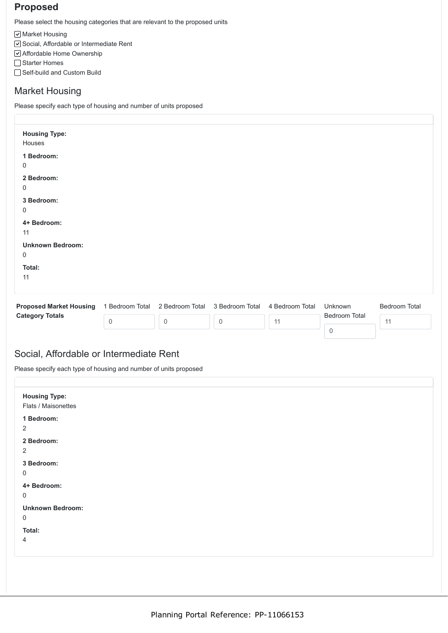# **Proposed**

Please select the housing categories that are relevant to the proposed units

Market Housing

- Social, Affordable or Intermediate Rent
- Affordable Home Ownership
- □ Starter Homes
- □ Self-build and Custom Build

# Market Housing

Please specify each type of housing and number of units proposed

| <b>Housing Type:</b><br>Houses |                     |             |                                                 |                 |                              |                      |
|--------------------------------|---------------------|-------------|-------------------------------------------------|-----------------|------------------------------|----------------------|
| 1 Bedroom:<br>0                |                     |             |                                                 |                 |                              |                      |
| 2 Bedroom:<br>0                |                     |             |                                                 |                 |                              |                      |
| 3 Bedroom:<br>0                |                     |             |                                                 |                 |                              |                      |
| 4+ Bedroom:<br>11              |                     |             |                                                 |                 |                              |                      |
| <b>Unknown Bedroom:</b><br>0   |                     |             |                                                 |                 |                              |                      |
| Total:<br>11                   |                     |             |                                                 |                 |                              |                      |
| <b>Proposed Market Housing</b> |                     |             | 1 Bedroom Total 2 Bedroom Total 3 Bedroom Total | 4 Bedroom Total | Unknown                      | <b>Bedroom Total</b> |
| <b>Category Totals</b>         | $\mathsf{O}\xspace$ | $\mathbf 0$ | $\mathsf{O}$                                    | 11              | Bedroom Total<br>$\mathbf 0$ | 11                   |

### Social, Affordable or Intermediate Rent

Please specify each type of housing and number of units proposed

| <b>Housing Type:</b>    |  |  |  |
|-------------------------|--|--|--|
| Flats / Maisonettes     |  |  |  |
| 1 Bedroom:              |  |  |  |
| 2                       |  |  |  |
| 2 Bedroom:              |  |  |  |
| 2                       |  |  |  |
| 3 Bedroom:              |  |  |  |
| $\mathsf{O}$            |  |  |  |
| 4+ Bedroom:             |  |  |  |
| 0                       |  |  |  |
| <b>Unknown Bedroom:</b> |  |  |  |
| $\mathsf{O}$            |  |  |  |
| Total:                  |  |  |  |
| 4                       |  |  |  |
|                         |  |  |  |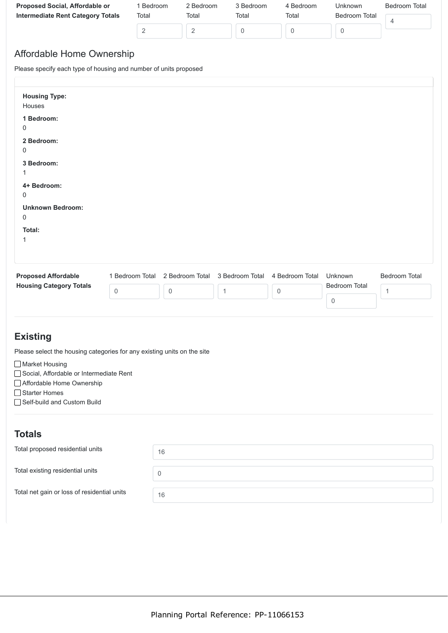| Proposed Social, Affordable or    | Bedroom | 2 Bedroom | 3 Bedroom | 4 Bedroom | Unknown       | Bedroom Total |
|-----------------------------------|---------|-----------|-----------|-----------|---------------|---------------|
| Intermediate Rent Category Totals | Total   | Total     | Total     | Total     | Bedroom Total |               |
|                                   |         |           |           |           |               |               |

### Affordable Home Ownership

Please specify each type of housing and number of units proposed

| <b>Housing Type:</b><br>Houses       |                     |                     |                                                 |                     |                              |               |
|--------------------------------------|---------------------|---------------------|-------------------------------------------------|---------------------|------------------------------|---------------|
| 1 Bedroom:<br>0                      |                     |                     |                                                 |                     |                              |               |
| 2 Bedroom:<br>0                      |                     |                     |                                                 |                     |                              |               |
| 3 Bedroom:<br>1                      |                     |                     |                                                 |                     |                              |               |
| 4+ Bedroom:<br>0                     |                     |                     |                                                 |                     |                              |               |
| <b>Unknown Bedroom:</b><br>$\pmb{0}$ |                     |                     |                                                 |                     |                              |               |
| Total:<br>1                          |                     |                     |                                                 |                     |                              |               |
| <b>Proposed Affordable</b>           |                     |                     | 1 Bedroom Total 2 Bedroom Total 3 Bedroom Total | 4 Bedroom Total     | Unknown                      | Bedroom Total |
| <b>Housing Category Totals</b>       | $\mathsf{O}\xspace$ | $\mathsf{O}\xspace$ | $\mathbf{1}$                                    | $\mathsf{O}\xspace$ | Bedroom Total<br>$\mathbf 0$ | $\mathbf{1}$  |

# **Existing**

Please select the housing categories for any existing units on the site

Market Housing

- □ Social, Affordable or Intermediate Rent
- □ Affordable Home Ownership
- □ Starter Homes
- □ Self-build and Custom Build

# **Totals**

Total proposed residential units 16 Total existing residential units  $\begin{array}{|c|c|} \hline 0 & 0 \\ \hline \end{array}$ Total net gain or loss of residential units  $\sqrt{16}$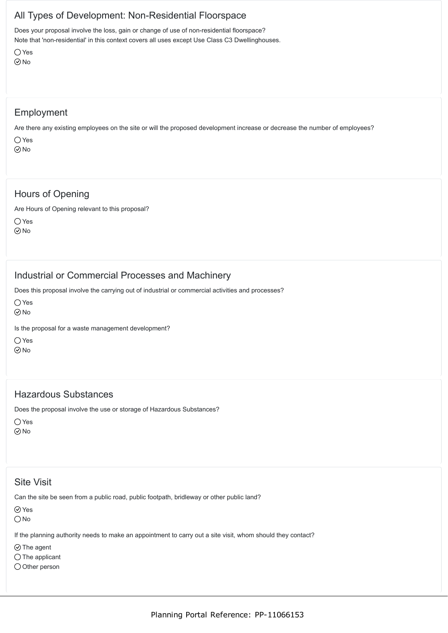# All Types of Development: Non-Residential Floorspace

Does your proposal involve the loss, gain or change of use of non-residential floorspace? Note that 'non-residential' in this context covers all uses except Use Class C3 Dwellinghouses.

Yes  $\odot$ No

### Employment

Are there any existing employees on the site or will the proposed development increase or decrease the number of employees?

Yes No

# Hours of Opening

Are Hours of Opening relevant to this proposal?

Yes No

# Industrial or Commercial Processes and Machinery

Does this proposal involve the carrying out of industrial or commercial activities and processes?

 $\bigcap$  Yes

 $\odot$ No

Is the proposal for a waste management development?

 $\bigcap$  Yes No

### Hazardous Substances

Does the proposal involve the use or storage of Hazardous Substances?

○ Yes No

# Site Visit

Can the site be seen from a public road, public footpath, bridleway or other public land?

⊙ Yes

 $\bigcirc$  No

If the planning authority needs to make an appointment to carry out a site visit, whom should they contact?

 $\odot$  The agent

 $\bigcap$  The applicant

 $\bigcirc$  Other person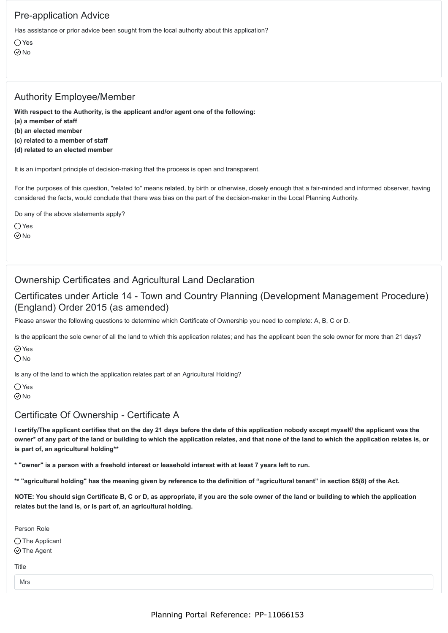## Pre-application Advice

Has assistance or prior advice been sought from the local authority about this application?

 $\bigcap$  Yes No

## Authority Employee/Member

**With respect to the Authority, is the applicant and/or agent one of the following:**

- **(a) a member of staff**
- **(b) an elected member**
- **(c) related to a member of staff**
- **(d) related to an elected member**

It is an important principle of decision-making that the process is open and transparent.

For the purposes of this question, "related to" means related, by birth or otherwise, closely enough that a fair-minded and informed observer, having considered the facts, would conclude that there was bias on the part of the decision-maker in the Local Planning Authority.

Do any of the above statements apply?

 $\bigcap$  Yes

 $\odot$  No

### Ownership Certificates and Agricultural Land Declaration

### Certificates under Article 14 - Town and Country Planning (Development Management Procedure) (England) Order 2015 (as amended)

Please answer the following questions to determine which Certificate of Ownership you need to complete: A, B, C or D.

Is the applicant the sole owner of all the land to which this application relates; and has the applicant been the sole owner for more than 21 days?

Yes

 $\bigcirc$  No

Is any of the land to which the application relates part of an Agricultural Holding?

 $\bigcap$  Yes  $\odot$  No

### Certificate Of Ownership - Certificate A

**I certify/The applicant certifies that on the day 21 days before the date of this application nobody except myself/ the applicant was the owner\* of any part of the land or building to which the application relates, and that none of the land to which the application relates is, or is part of, an agricultural holding\*\***

**\* "owner" is a person with a freehold interest or leasehold interest with at least 7 years left to run.**

**\*\* "agricultural holding" has the meaning given by reference to the definition of "agricultural tenant" in section 65(8) of the Act.**

**NOTE: You should sign Certificate B, C or D, as appropriate, if you are the sole owner of the land or building to which the application relates but the land is, or is part of, an agricultural holding.**

Person Role

 $\bigcap$  The Applicant ⊙The Agent

Title

Mrs